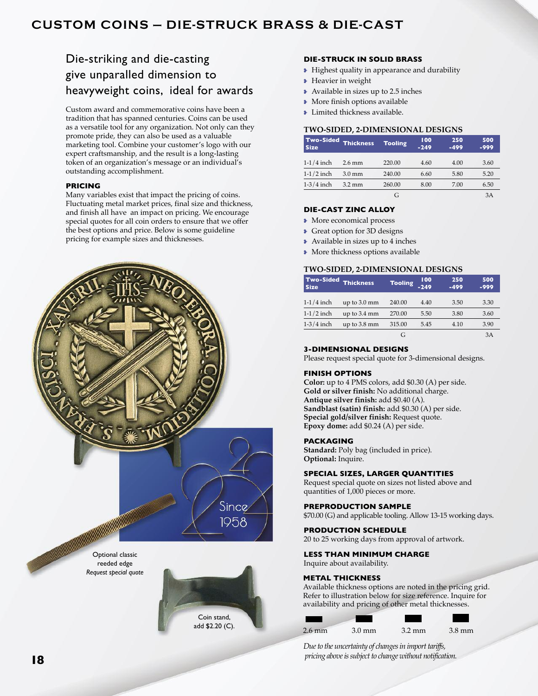# **cUStoM coiNS — DiE-StrUcK BrASS & DiE-cASt**

# Die-striking and die-casting give unparalled dimension to heavyweight coins, ideal for awards

Custom award and commemorative coins have been a tradition that has spanned centuries. Coins can be used as a versatile tool for any organization. Not only can they promote pride, they can also be used as a valuable marketing tool. Combine your customer's logo with our expert craftsmanship, and the result is a long-lasting token of an organization's message or an individual's outstanding accomplishment.

# **PRICING**

Many variables exist that impact the pricing of coins. Fluctuating metal market prices, final size and thickness, and finish all have an impact on pricing. We encourage special quotes for all coin orders to ensure that we offer the best options and price. Below is some guideline pricing for example sizes and thicknesses.



### **DIE-STRUCK IN SOLID BRASS**

- Highest quality in appearance and durability
- Heavier in weight
- Available in sizes up to 2.5 inches
- More finish options available
- Limited thickness available.

# **TWO-SIDED, 2-DIMENSIONAL DESIGNS**

| <b>Two-Sided</b><br><b>Size</b> | <b>Thickness</b> | <b>Tooling</b> | 100<br>$-249$ | 250<br>$-499$ | 500<br>$-999$ |
|---------------------------------|------------------|----------------|---------------|---------------|---------------|
| $1-1/4$ inch                    | $2.6$ mm         | 220.00         | 4.60          | 4.00          | 3.60          |
| $1-1/2$ inch                    | $3.0 \text{ mm}$ | 240.00         | 6.60          | 5.80          | 5.20          |
| $1-3/4$ inch                    | $3.2 \text{ mm}$ | 260.00         | 8.00          | 7.00          | 6.50          |
|                                 |                  | G              |               |               | 3A            |

# **DIE-CAST ZINC ALLOY**

- More economical process
- Great option for 3D designs
- Available in sizes up to 4 inches
- More thickness options available

# **TWO-SIDED, 2-DIMENSIONAL DESIGNS**

| <b>Size</b>  | Two-Sided Thickness | <b>Tooling</b> | 100<br>$-249$ | 250<br>$-499$ | 500<br>$-999$ |
|--------------|---------------------|----------------|---------------|---------------|---------------|
| $1-1/4$ inch | up to 3.0 mm        | 240.00         | 4.40          | 3.50          | 3.30          |
| $1-1/2$ inch | up to 3.4 mm        | 270.00         | 5.50          | 3.80          | 3.60          |
| $1-3/4$ inch | up to 3.8 mm        | 315.00         | 5.45          | 4.10          | 3.90          |
|              |                     | G              |               |               | 3A            |

#### **3-DIMENSIONAL DESIGNS**

Please request special quote for 3-dimensional designs.

### **fINISH OPTIONS**

**Color:** up to 4 PMS colors, add \$0.30 (A) per side. **Gold or silver finish:** No additional charge. **Antique silver finish:** add \$0.40 (A). **Sandblast (satin) finish:** add \$0.30 (A) per side. **Special gold/silver finish:** Request quote. **Epoxy dome:** add \$0.24 (A) per side.

# **PACKAGING**

**Standard:** Poly bag (included in price). **Optional:** Inquire.

## **SPECIAL SIZES, LARGER QUANTITIES**

Request special quote on sizes not listed above and quantities of 1,000 pieces or more.

# **PREPRODUCTION SAMPLE**

\$70.00 (G) and applicable tooling. Allow 13-15 working days.

# **PRODUCTION SCHEDULE**

20 to 25 working days from approval of artwork.

#### **LESS THAN MINIMUM CHARGE**

# Inquire about availability.

### **METAL THICKNESS**

Available thickness options are noted in the pricing grid. Refer to illustration below for size reference. Inquire for availability and pricing of other metal thicknesses.

| $2.6$ mm | $3.0 \text{ mm}$ | $3.2 \text{ mm}$ | $3.8 \text{ mm}$ |
|----------|------------------|------------------|------------------|

*Due to the uncertainty of changes in import tariffs, pricing above is subject to change without notification.*